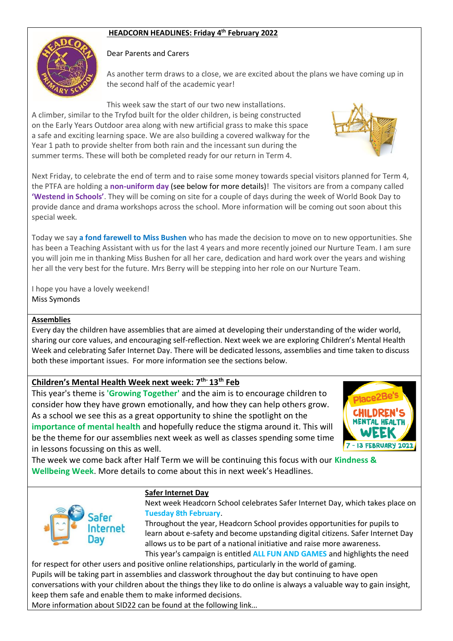# **HEADCORN HEADLINES: Friday 4 th February 2022**



#### Dear Parents and Carers

As another term draws to a close, we are excited about the plans we have coming up in the second half of the academic year!

This week saw the start of our two new installations.

A climber, similar to the Tryfod built for the older children, is being constructed on the Early Years Outdoor area along with new artificial grass to make this space a safe and exciting learning space. We are also building a covered walkway for the Year 1 path to provide shelter from both rain and the incessant sun during the summer terms. These will both be completed ready for our return in Term 4.

Next Friday, to celebrate the end of term and to raise some money towards special visitors planned for Term 4, the PTFA are holding a **non-uniform day** (see below for more details)! The visitors are from a company called **'Westend in Schools'**. They will be coming on site for a couple of days during the week of World Book Day to provide dance and drama workshops across the school. More information will be coming out soon about this special week.

Today we say **a fond farewell to Miss Bushen** who has made the decision to move on to new opportunities. She has been a Teaching Assistant with us for the last 4 years and more recently joined our Nurture Team. I am sure you will join me in thanking Miss Bushen for all her care, dedication and hard work over the years and wishing her all the very best for the future. Mrs Berry will be stepping into her role on our Nurture Team.

I hope you have a lovely weekend! Miss Symonds

#### **Assemblies**

Every day the children have assemblies that are aimed at developing their understanding of the wider world, sharing our core values, and encouraging self-reflection. Next week we are exploring Children's Mental Health Week and celebrating Safer Internet Day. There will be dedicated lessons, assemblies and time taken to discuss both these important issues. For more information see the sections below.

## **Children's Mental Health Week next week: 7th- 13th Feb**

This year's theme is **'Growing Together'** and the aim is to encourage children to consider how they have grown emotionally, and how they can help others grow. As a school we see this as a great opportunity to shine the spotlight on the **importance of mental health** and hopefully reduce the stigma around it. This will be the theme for our assemblies next week as well as classes spending some time in lessons focussing on this as well.



The week we come back after Half Term we will be continuing this focus with our **Kindness & Wellbeing Week**. More details to come about this in next week's Headlines.



#### **Safer Internet Day**

Next week Headcorn School celebrates Safer Internet Day, which takes place on **Tuesday 8th February**.

Throughout the year, Headcorn School provides opportunities for pupils to learn about e-safety and become upstanding digital citizens. Safer Internet Day allows us to be part of a national initiative and raise more awareness. This year's campaign is entitled **ALL FUN AND GAMES** and highlights the need

for respect for other users and positive online relationships, particularly in the world of gaming. Pupils will be taking part in assemblies and classwork throughout the day but continuing to have open conversations with your children about the things they like to do online is always a valuable way to gain insight, keep them safe and enable them to make informed decisions.

More information about SID22 can be found at the following link…